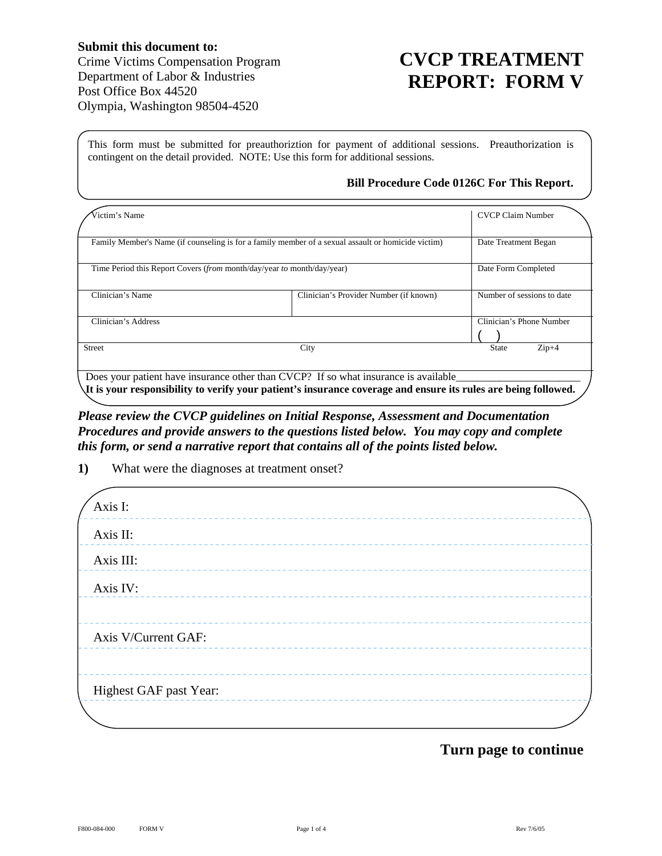## **CVCP TREATMENT REPORT: FORM V**

This form must be submitted for preauthoriztion for payment of additional sessions. Preauthorization is contingent on the detail provided. NOTE: Use this form for additional sessions.

## **Bill Procedure Code 0126C For This Report.**

| Victim's Name                                                                                                                                                                                         |                                        | <b>CVCP Claim Number</b>   |
|-------------------------------------------------------------------------------------------------------------------------------------------------------------------------------------------------------|----------------------------------------|----------------------------|
| Family Member's Name (if counseling is for a family member of a sexual assault or homicide victim)                                                                                                    |                                        | Date Treatment Began       |
| Time Period this Report Covers ( <i>from</i> month/day/year <i>to</i> month/day/year)                                                                                                                 |                                        | Date Form Completed        |
| Clinician's Name                                                                                                                                                                                      | Clinician's Provider Number (if known) | Number of sessions to date |
| Clinician's Address                                                                                                                                                                                   |                                        | Clinician's Phone Number   |
| <b>Street</b>                                                                                                                                                                                         | City                                   | $Zip+4$<br><b>State</b>    |
| Does your patient have insurance other than CVCP? If so what insurance is available<br>It is your responsibility to verify your patient's insurance coverage and ensure its rules are being followed. |                                        |                            |

*Please review the CVCP guidelines on Initial Response, Assessment and Documentation Procedures and provide answers to the questions listed below. You may copy and complete this form, or send a narrative report that contains all of the points listed below.* 

**1)** What were the diagnoses at treatment onset?

| Axis I:                |  |  |
|------------------------|--|--|
| Axis II:               |  |  |
| Axis III:              |  |  |
| Axis IV:               |  |  |
|                        |  |  |
| Axis V/Current GAF:    |  |  |
|                        |  |  |
| Highest GAF past Year: |  |  |
|                        |  |  |

## **Turn page to continue**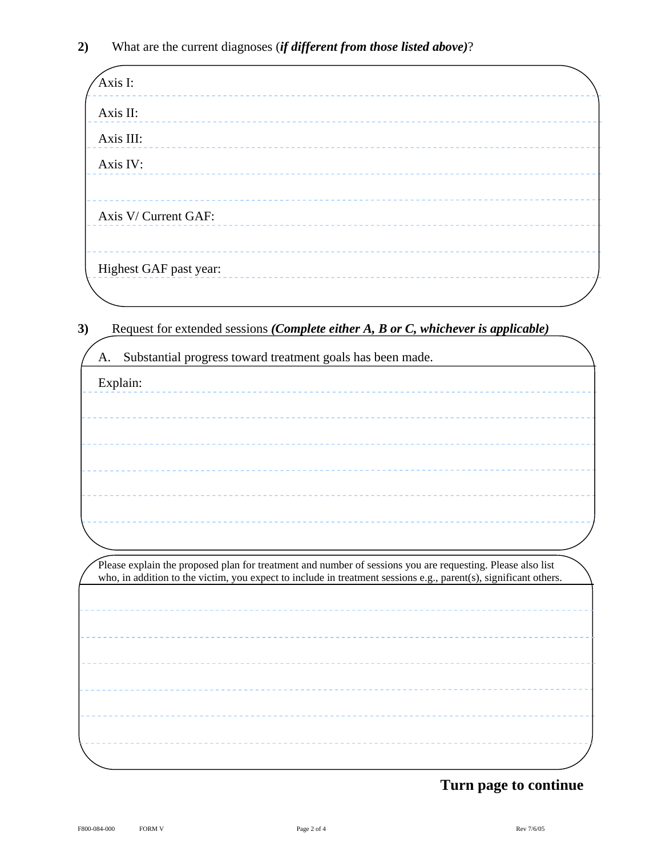| Axis I:                | ----------- |  |  |
|------------------------|-------------|--|--|
| Axis II:               |             |  |  |
| Axis III:              |             |  |  |
| Axis IV:               |             |  |  |
|                        |             |  |  |
| Axis V/ Current GAF:   |             |  |  |
|                        |             |  |  |
| Highest GAF past year: |             |  |  |
|                        |             |  |  |

**3)** Request for extended sessions *(Complete either A, B or C, whichever is applicable)*

| A. | Substantial progress toward treatment goals has been made.                                                       |
|----|------------------------------------------------------------------------------------------------------------------|
|    | Explain:                                                                                                         |
|    |                                                                                                                  |
|    |                                                                                                                  |
|    |                                                                                                                  |
|    |                                                                                                                  |
|    |                                                                                                                  |
|    |                                                                                                                  |
|    |                                                                                                                  |
|    |                                                                                                                  |
|    |                                                                                                                  |
|    | Please explain the proposed plan for treatment and number of sessions you are requesting. Please also list       |
|    | who, in addition to the victim, you expect to include in treatment sessions e.g., parent(s), significant others. |
|    |                                                                                                                  |
|    |                                                                                                                  |
|    |                                                                                                                  |
|    |                                                                                                                  |
|    |                                                                                                                  |
|    |                                                                                                                  |
|    |                                                                                                                  |

## **Turn page to continue**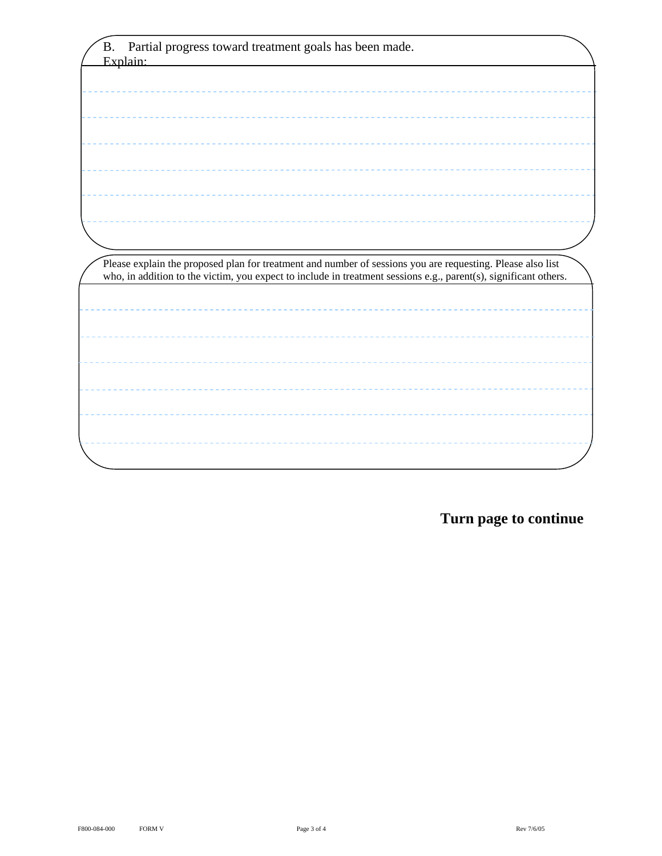| <b>B.</b><br>Partial progress toward treatment goals has been made.                                              |  |
|------------------------------------------------------------------------------------------------------------------|--|
| Explain:                                                                                                         |  |
|                                                                                                                  |  |
|                                                                                                                  |  |
|                                                                                                                  |  |
|                                                                                                                  |  |
|                                                                                                                  |  |
|                                                                                                                  |  |
|                                                                                                                  |  |
|                                                                                                                  |  |
|                                                                                                                  |  |
|                                                                                                                  |  |
|                                                                                                                  |  |
|                                                                                                                  |  |
| Please explain the proposed plan for treatment and number of sessions you are requesting. Please also list       |  |
| who, in addition to the victim, you expect to include in treatment sessions e.g., parent(s), significant others. |  |
|                                                                                                                  |  |
|                                                                                                                  |  |
|                                                                                                                  |  |
|                                                                                                                  |  |
|                                                                                                                  |  |
|                                                                                                                  |  |
|                                                                                                                  |  |
|                                                                                                                  |  |
|                                                                                                                  |  |
|                                                                                                                  |  |

**Turn page to continue**